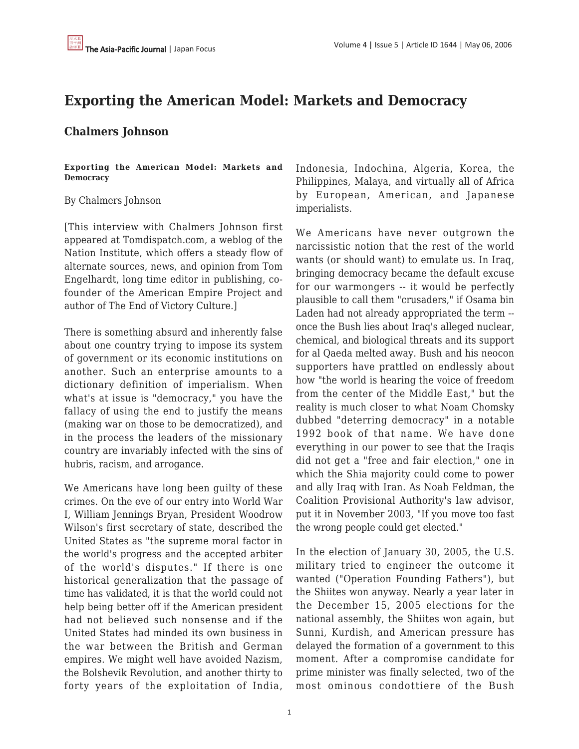# **Exporting the American Model: Markets and Democracy**

# **Chalmers Johnson**

**Exporting the American Model: Markets and Democracy**

## By Chalmers Johnson

[This interview with Chalmers Johnson first appeared at Tomdispatch.com, a weblog of the Nation Institute, which offers a steady flow of alternate sources, news, and opinion from Tom Engelhardt, long time editor in publishing, cofounder of the American Empire Project and author of The End of Victory Culture.]

There is something absurd and inherently false about one country trying to impose its system of government or its economic institutions on another. Such an enterprise amounts to a dictionary definition of imperialism. When what's at issue is "democracy," you have the fallacy of using the end to justify the means (making war on those to be democratized), and in the process the leaders of the missionary country are invariably infected with the sins of hubris, racism, and arrogance.

We Americans have long been guilty of these crimes. On the eve of our entry into World War I, William Jennings Bryan, President Woodrow Wilson's first secretary of state, described the United States as "the supreme moral factor in the world's progress and the accepted arbiter of the world's disputes." If there is one historical generalization that the passage of time has validated, it is that the world could not help being better off if the American president had not believed such nonsense and if the United States had minded its own business in the war between the British and German empires. We might well have avoided Nazism, the Bolshevik Revolution, and another thirty to forty years of the exploitation of India,

Indonesia, Indochina, Algeria, Korea, the Philippines, Malaya, and virtually all of Africa by European, American, and Japanese imperialists.

We Americans have never outgrown the narcissistic notion that the rest of the world wants (or should want) to emulate us. In Iraq, bringing democracy became the default excuse for our warmongers -- it would be perfectly plausible to call them "crusaders," if Osama bin Laden had not already appropriated the term - once the Bush lies about Iraq's alleged nuclear, chemical, and biological threats and its support for al Qaeda melted away. Bush and his neocon supporters have prattled on endlessly about how "the world is hearing the voice of freedom from the center of the Middle East," but the reality is much closer to what Noam Chomsky dubbed "deterring democracy" in a notable 1992 book of that name. We have done everything in our power to see that the Iraqis did not get a "free and fair election," one in which the Shia majority could come to power and ally Iraq with Iran. As Noah Feldman, the Coalition Provisional Authority's law advisor, put it in November 2003, "If you move too fast the wrong people could get elected."

In the election of January 30, 2005, the U.S. military tried to engineer the outcome it wanted ("Operation Founding Fathers"), but the Shiites won anyway. Nearly a year later in the December 15, 2005 elections for the national assembly, the Shiites won again, but Sunni, Kurdish, and American pressure has delayed the formation of a government to this moment. After a compromise candidate for prime minister was finally selected, two of the most ominous condottiere of the Bush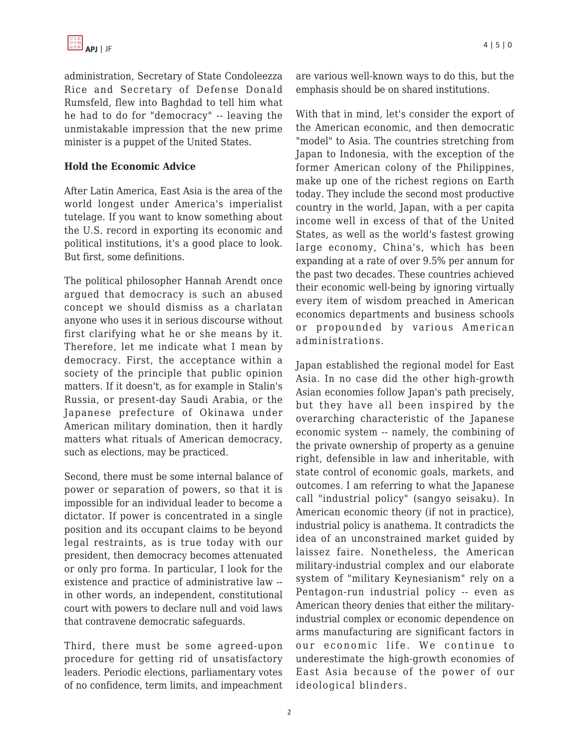administration, Secretary of State Condoleezza Rice and Secretary of Defense Donald Rumsfeld, flew into Baghdad to tell him what he had to do for "democracy" -- leaving the unmistakable impression that the new prime minister is a puppet of the United States.

## **Hold the Economic Advice**

After Latin America, East Asia is the area of the world longest under America's imperialist tutelage. If you want to know something about the U.S. record in exporting its economic and political institutions, it's a good place to look. But first, some definitions.

The political philosopher Hannah Arendt once argued that democracy is such an abused concept we should dismiss as a charlatan anyone who uses it in serious discourse without first clarifying what he or she means by it. Therefore, let me indicate what I mean by democracy. First, the acceptance within a society of the principle that public opinion matters. If it doesn't, as for example in Stalin's Russia, or present-day Saudi Arabia, or the Japanese prefecture of Okinawa under American military domination, then it hardly matters what rituals of American democracy, such as elections, may be practiced.

Second, there must be some internal balance of power or separation of powers, so that it is impossible for an individual leader to become a dictator. If power is concentrated in a single position and its occupant claims to be beyond legal restraints, as is true today with our president, then democracy becomes attenuated or only pro forma. In particular, I look for the existence and practice of administrative law - in other words, an independent, constitutional court with powers to declare null and void laws that contravene democratic safeguards.

Third, there must be some agreed-upon procedure for getting rid of unsatisfactory leaders. Periodic elections, parliamentary votes of no confidence, term limits, and impeachment are various well-known ways to do this, but the emphasis should be on shared institutions.

With that in mind, let's consider the export of the American economic, and then democratic "model" to Asia. The countries stretching from Japan to Indonesia, with the exception of the former American colony of the Philippines, make up one of the richest regions on Earth today. They include the second most productive country in the world, Japan, with a per capita income well in excess of that of the United States, as well as the world's fastest growing large economy, China's, which has been expanding at a rate of over 9.5% per annum for the past two decades. These countries achieved their economic well-being by ignoring virtually every item of wisdom preached in American economics departments and business schools or propounded by various American administrations.

Japan established the regional model for East Asia. In no case did the other high-growth Asian economies follow Japan's path precisely, but they have all been inspired by the overarching characteristic of the Japanese economic system -- namely, the combining of the private ownership of property as a genuine right, defensible in law and inheritable, with state control of economic goals, markets, and outcomes. I am referring to what the Japanese call "industrial policy" (sangyo seisaku). In American economic theory (if not in practice), industrial policy is anathema. It contradicts the idea of an unconstrained market guided by laissez faire. Nonetheless, the American military-industrial complex and our elaborate system of "military Keynesianism" rely on a Pentagon-run industrial policy -- even as American theory denies that either the militaryindustrial complex or economic dependence on arms manufacturing are significant factors in our economic life. We continue to underestimate the high-growth economies of East Asia because of the power of our ideological blinders.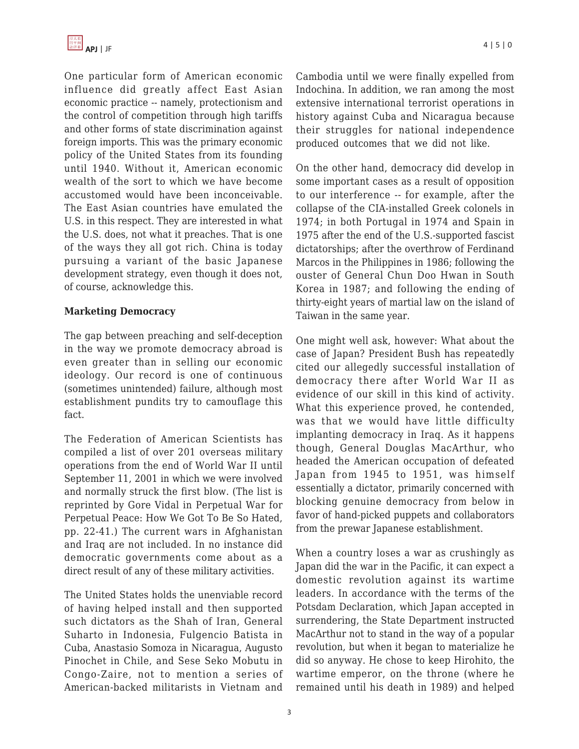

One particular form of American economic influence did greatly affect East Asian economic practice -- namely, protectionism and the control of competition through high tariffs and other forms of state discrimination against foreign imports. This was the primary economic policy of the United States from its founding until 1940. Without it, American economic wealth of the sort to which we have become accustomed would have been inconceivable. The East Asian countries have emulated the U.S. in this respect. They are interested in what the U.S. does, not what it preaches. That is one of the ways they all got rich. China is today pursuing a variant of the basic Japanese development strategy, even though it does not, of course, acknowledge this.

#### **Marketing Democracy**

The gap between preaching and self-deception in the way we promote democracy abroad is even greater than in selling our economic ideology. Our record is one of continuous (sometimes unintended) failure, although most establishment pundits try to camouflage this fact.

The Federation of American Scientists has compiled a list of over 201 overseas military operations from the end of World War II until September 11, 2001 in which we were involved and normally struck the first blow. (The list is reprinted by Gore Vidal in Perpetual War for Perpetual Peace: How We Got To Be So Hated, pp. 22-41.) The current wars in Afghanistan and Iraq are not included. In no instance did democratic governments come about as a direct result of any of these military activities.

The United States holds the unenviable record of having helped install and then supported such dictators as the Shah of Iran, General Suharto in Indonesia, Fulgencio Batista in Cuba, Anastasio Somoza in Nicaragua, Augusto Pinochet in Chile, and Sese Seko Mobutu in Congo-Zaire, not to mention a series of American-backed militarists in Vietnam and Cambodia until we were finally expelled from Indochina. In addition, we ran among the most extensive international terrorist operations in history against Cuba and Nicaragua because their struggles for national independence produced outcomes that we did not like.

On the other hand, democracy did develop in some important cases as a result of opposition to our interference -- for example, after the collapse of the CIA-installed Greek colonels in 1974; in both Portugal in 1974 and Spain in 1975 after the end of the U.S.-supported fascist dictatorships; after the overthrow of Ferdinand Marcos in the Philippines in 1986; following the ouster of General Chun Doo Hwan in South Korea in 1987; and following the ending of thirty-eight years of martial law on the island of Taiwan in the same year.

One might well ask, however: What about the case of Japan? President Bush has repeatedly cited our allegedly successful installation of democracy there after World War II as evidence of our skill in this kind of activity. What this experience proved, he contended, was that we would have little difficulty implanting democracy in Iraq. As it happens though, General Douglas MacArthur, who headed the American occupation of defeated Japan from 1945 to 1951, was himself essentially a dictator, primarily concerned with blocking genuine democracy from below in favor of hand-picked puppets and collaborators from the prewar Japanese establishment.

When a country loses a war as crushingly as Japan did the war in the Pacific, it can expect a domestic revolution against its wartime leaders. In accordance with the terms of the Potsdam Declaration, which Japan accepted in surrendering, the State Department instructed MacArthur not to stand in the way of a popular revolution, but when it began to materialize he did so anyway. He chose to keep Hirohito, the wartime emperor, on the throne (where he remained until his death in 1989) and helped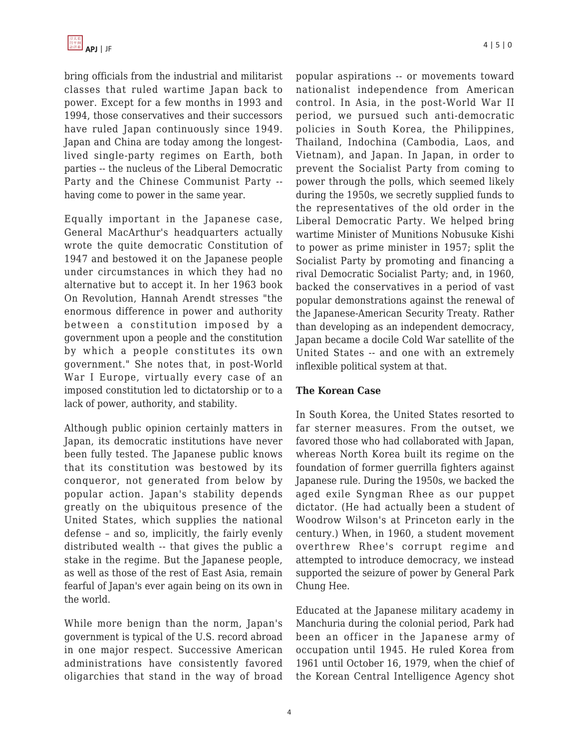

bring officials from the industrial and militarist classes that ruled wartime Japan back to power. Except for a few months in 1993 and 1994, those conservatives and their successors have ruled Japan continuously since 1949. Japan and China are today among the longestlived single-party regimes on Earth, both parties -- the nucleus of the Liberal Democratic Party and the Chinese Communist Party - having come to power in the same year.

Equally important in the Japanese case, General MacArthur's headquarters actually wrote the quite democratic Constitution of 1947 and bestowed it on the Japanese people under circumstances in which they had no alternative but to accept it. In her 1963 book On Revolution, Hannah Arendt stresses "the enormous difference in power and authority between a constitution imposed by a government upon a people and the constitution by which a people constitutes its own government." She notes that, in post-World War I Europe, virtually every case of an imposed constitution led to dictatorship or to a lack of power, authority, and stability.

Although public opinion certainly matters in Japan, its democratic institutions have never been fully tested. The Japanese public knows that its constitution was bestowed by its conqueror, not generated from below by popular action. Japan's stability depends greatly on the ubiquitous presence of the United States, which supplies the national defense – and so, implicitly, the fairly evenly distributed wealth -- that gives the public a stake in the regime. But the Japanese people, as well as those of the rest of East Asia, remain fearful of Japan's ever again being on its own in the world.

While more benign than the norm, Japan's government is typical of the U.S. record abroad in one major respect. Successive American administrations have consistently favored oligarchies that stand in the way of broad popular aspirations -- or movements toward nationalist independence from American control. In Asia, in the post-World War II period, we pursued such anti-democratic policies in South Korea, the Philippines, Thailand, Indochina (Cambodia, Laos, and Vietnam), and Japan. In Japan, in order to prevent the Socialist Party from coming to power through the polls, which seemed likely during the 1950s, we secretly supplied funds to the representatives of the old order in the Liberal Democratic Party. We helped bring wartime Minister of Munitions Nobusuke Kishi to power as prime minister in 1957; split the Socialist Party by promoting and financing a rival Democratic Socialist Party; and, in 1960, backed the conservatives in a period of vast popular demonstrations against the renewal of the Japanese-American Security Treaty. Rather than developing as an independent democracy, Japan became a docile Cold War satellite of the United States -- and one with an extremely inflexible political system at that.

#### **The Korean Case**

In South Korea, the United States resorted to far sterner measures. From the outset, we favored those who had collaborated with Japan, whereas North Korea built its regime on the foundation of former guerrilla fighters against Japanese rule. During the 1950s, we backed the aged exile Syngman Rhee as our puppet dictator. (He had actually been a student of Woodrow Wilson's at Princeton early in the century.) When, in 1960, a student movement overthrew Rhee's corrupt regime and attempted to introduce democracy, we instead supported the seizure of power by General Park Chung Hee.

Educated at the Japanese military academy in Manchuria during the colonial period, Park had been an officer in the Japanese army of occupation until 1945. He ruled Korea from 1961 until October 16, 1979, when the chief of the Korean Central Intelligence Agency shot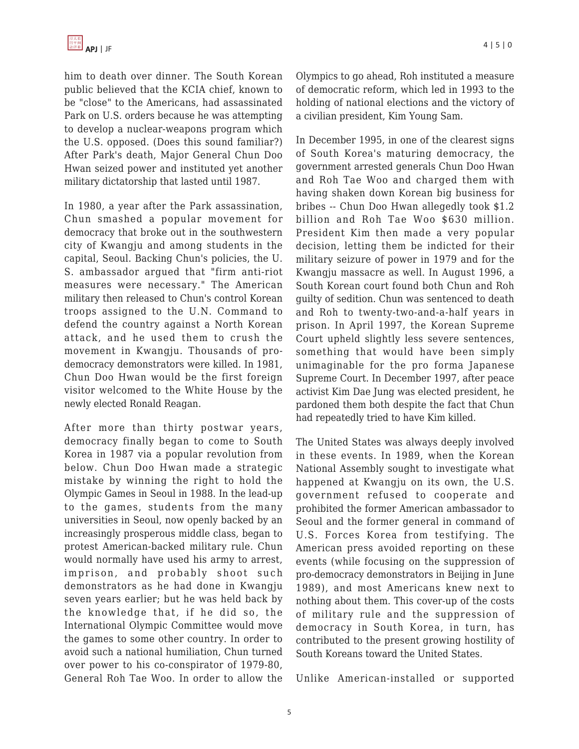him to death over dinner. The South Korean public believed that the KCIA chief, known to be "close" to the Americans, had assassinated Park on U.S. orders because he was attempting to develop a nuclear-weapons program which the U.S. opposed. (Does this sound familiar?) After Park's death, Major General Chun Doo Hwan seized power and instituted yet another military dictatorship that lasted until 1987.

In 1980, a year after the Park assassination, Chun smashed a popular movement for democracy that broke out in the southwestern city of Kwangju and among students in the capital, Seoul. Backing Chun's policies, the U. S. ambassador argued that "firm anti-riot measures were necessary." The American military then released to Chun's control Korean troops assigned to the U.N. Command to defend the country against a North Korean attack, and he used them to crush the movement in Kwangju. Thousands of prodemocracy demonstrators were killed. In 1981, Chun Doo Hwan would be the first foreign visitor welcomed to the White House by the newly elected Ronald Reagan.

After more than thirty postwar years, democracy finally began to come to South Korea in 1987 via a popular revolution from below. Chun Doo Hwan made a strategic mistake by winning the right to hold the Olympic Games in Seoul in 1988. In the lead-up to the games, students from the many universities in Seoul, now openly backed by an increasingly prosperous middle class, began to protest American-backed military rule. Chun would normally have used his army to arrest, imprison, and probably shoot such demonstrators as he had done in Kwangju seven years earlier; but he was held back by the knowledge that, if he did so, the International Olympic Committee would move the games to some other country. In order to avoid such a national humiliation, Chun turned over power to his co-conspirator of 1979-80, General Roh Tae Woo. In order to allow the Olympics to go ahead, Roh instituted a measure of democratic reform, which led in 1993 to the holding of national elections and the victory of a civilian president, Kim Young Sam.

In December 1995, in one of the clearest signs of South Korea's maturing democracy, the government arrested generals Chun Doo Hwan and Roh Tae Woo and charged them with having shaken down Korean big business for bribes -- Chun Doo Hwan allegedly took \$1.2 billion and Roh Tae Woo \$630 million. President Kim then made a very popular decision, letting them be indicted for their military seizure of power in 1979 and for the Kwangju massacre as well. In August 1996, a South Korean court found both Chun and Roh guilty of sedition. Chun was sentenced to death and Roh to twenty-two-and-a-half years in prison. In April 1997, the Korean Supreme Court upheld slightly less severe sentences, something that would have been simply unimaginable for the pro forma Japanese Supreme Court. In December 1997, after peace activist Kim Dae Jung was elected president, he pardoned them both despite the fact that Chun had repeatedly tried to have Kim killed.

The United States was always deeply involved in these events. In 1989, when the Korean National Assembly sought to investigate what happened at Kwangju on its own, the U.S. government refused to cooperate and prohibited the former American ambassador to Seoul and the former general in command of U.S. Forces Korea from testifying. The American press avoided reporting on these events (while focusing on the suppression of pro-democracy demonstrators in Beijing in June 1989), and most Americans knew next to nothing about them. This cover-up of the costs of military rule and the suppression of democracy in South Korea, in turn, has contributed to the present growing hostility of South Koreans toward the United States.

Unlike American-installed or supported